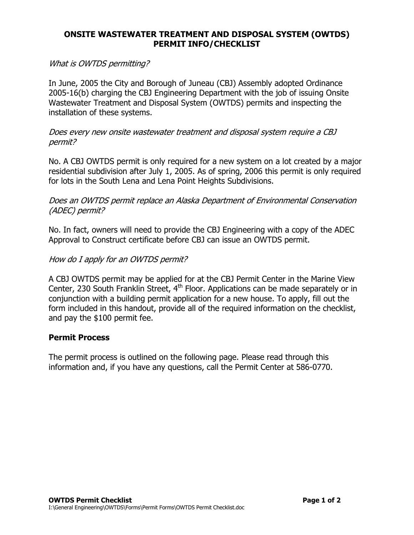# ONSITE WASTEWATER TREATMENT AND DISPOSAL SYSTEM (OWTDS) PERMIT INFO/CHECKLIST

### What is OWTDS permitting?

In June, 2005 the City and Borough of Juneau (CBJ) Assembly adopted Ordinance 2005-16(b) charging the CBJ Engineering Department with the job of issuing Onsite Wastewater Treatment and Disposal System (OWTDS) permits and inspecting the installation of these systems.

#### Does every new onsite wastewater treatment and disposal system require a CBJ permit?

No. A CBJ OWTDS permit is only required for a new system on a lot created by a major residential subdivision after July 1, 2005. As of spring, 2006 this permit is only required for lots in the South Lena and Lena Point Heights Subdivisions.

Does an OWTDS permit replace an Alaska Department of Environmental Conservation (ADEC) permit?

No. In fact, owners will need to provide the CBJ Engineering with a copy of the ADEC Approval to Construct certificate before CBJ can issue an OWTDS permit.

### How do I apply for an OWTDS permit?

A CBJ OWTDS permit may be applied for at the CBJ Permit Center in the Marine View Center, 230 South Franklin Street,  $4<sup>th</sup>$  Floor. Applications can be made separately or in conjunction with a building permit application for a new house. To apply, fill out the form included in this handout, provide all of the required information on the checklist, and pay the \$100 permit fee.

#### Permit Process

The permit process is outlined on the following page. Please read through this information and, if you have any questions, call the Permit Center at 586-0770.